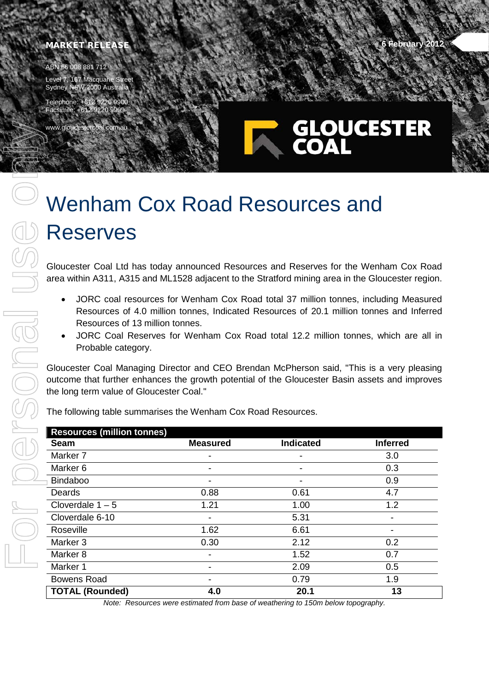## **MARKET RELEASE 6 February** 2012

ABN 66 008 881 712

www.gloucestercoal

Level 7, 167 Macquarie Street Sydney NSW 2000 Australia

Telephone: +612 9220 9 Facsimile: +612 9220 99

## GLOUCESTER

## Wenham Cox Road Resources and Reserves

Gloucester Coal Ltd has today announced Resources and Reserves for the Wenham Cox Road area within A311, A315 and ML1528 adjacent to the Stratford mining area in the Gloucester region.

- JORC coal resources for Wenham Cox Road total 37 million tonnes, including Measured Resources of 4.0 million tonnes, Indicated Resources of 20.1 million tonnes and Inferred Resources of 13 million tonnes.
- JORC Coal Reserves for Wenham Cox Road total 12.2 million tonnes, which are all in Probable category.

Gloucester Coal Managing Director and CEO Brendan McPherson said, "This is a very pleasing outcome that further enhances the growth potential of the Gloucester Basin assets and improves the long term value of Gloucester Coal."

The following table summarises the Wenham Cox Road Resources.

| <b>Resources (million tonnes)</b> |                 |                  |                 |
|-----------------------------------|-----------------|------------------|-----------------|
| <b>Seam</b>                       | <b>Measured</b> | <b>Indicated</b> | <b>Inferred</b> |
| Marker <sub>7</sub>               |                 |                  | 3.0             |
| Marker 6                          |                 |                  | 0.3             |
| <b>Bindaboo</b>                   |                 |                  | 0.9             |
| Deards                            | 0.88            | 0.61             | 4.7             |
| Cloverdale $1 - 5$                | 1.21            | 1.00             | 1.2             |
| Cloverdale 6-10                   |                 | 5.31             |                 |
| Roseville                         | 1.62            | 6.61             |                 |
| Marker 3                          | 0.30            | 2.12             | 0.2             |
| Marker <sub>8</sub>               |                 | 1.52             | 0.7             |
| Marker 1                          |                 | 2.09             | 0.5             |
| <b>Bowens Road</b>                |                 | 0.79             | 1.9             |
| <b>TOTAL (Rounded)</b>            | 4.0             | 20.1             | 13              |

*Note: Resources were estimated from base of weathering to 150m below topography.*